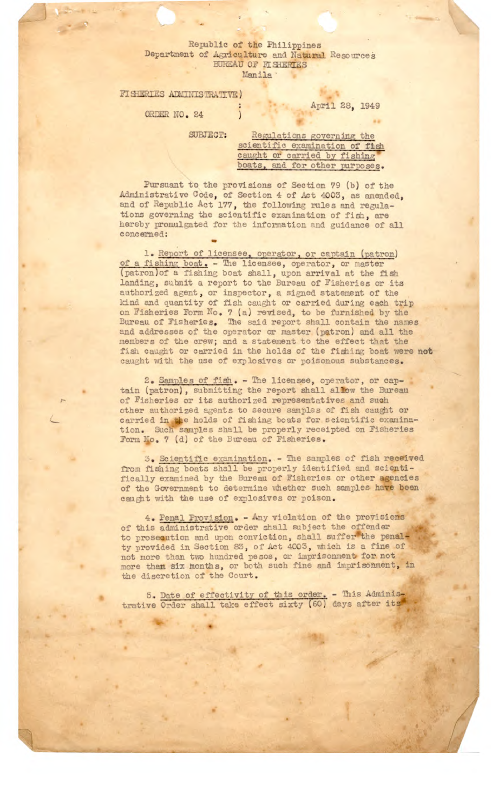## Republic of the Philippines Department of Agriculture and Natural Resource; JREAU OF **FISHERIES** . Manila

FISHERIES ADMINISTRATIVE)

April 28, 1949

ORDER NO. 24

SUBJECT: Regulations governing the scientific examination of fish caught or carried by fishing boats, and for other purposes.

Pursuant to the provisions of Section 79 (b) of the Administrative Code, of Section 4 of Act 4003, as amended, and of Republic Act 177, the following rules and regulations governing the scientific examination of fish, are hereby promulgated for the information and guidance of all concerned:

1. Report of licensee, operator, or captain (patron) of a fishing boat. - The licensee, operator, or master (patron) of a fishing boat shall, upon arrival at the fish landing, submit a report to the Bureau of Fisheries or its authorized agent, or inspector, a signed statement of the kind and quantity of fish caught or carried during each trip on Fisheries Porn No. 7 (a) revised, to be furnished by the Bureau of Fisheries. The said report shall contain the names and addresses of the operator or master (patron) and all the members of the crew; and a statement to the effect that the fish caught or carried in the holds of the fishing boat were not caught with the use of explosives or poisonous substances.

> 2. Samples of fish. - The licensee, operator, or captain (patron), submitting the report shall allow the Bureau of Fisheries or its authorized representatives and such other authorized agents to secure samples of fish caught or carried in the holds of fishing boats for scientific examination. Such samples shall be properly receipted on Fisheries Form No. 7 (d) of the Bureau of Fisheries.

3. Scientific examination. - The samples of fish received from fishing boats shall be properly identified and scientifically examined by the Bureau of Fisheries or other agencies of the Government to determine whether such samples have been caught with the use of explosives or poison.

4. Penal Provision. - Any violation of the provisions of this administrative order shall subject the offender to prosecution and upon conviction, shall suffer the penalty provided in Section 83, of Act 4003, vhich is a fine of not more than two hundred pesos, or imprisonment for not more than six months, or both such fine and imprisonment, in the discretion of the Court.

5. Date of effectivity of this order. - This Administrative Order shall take effect sixty (60) days after its

4

*4-4 -* . .,. - •J\_•- ,